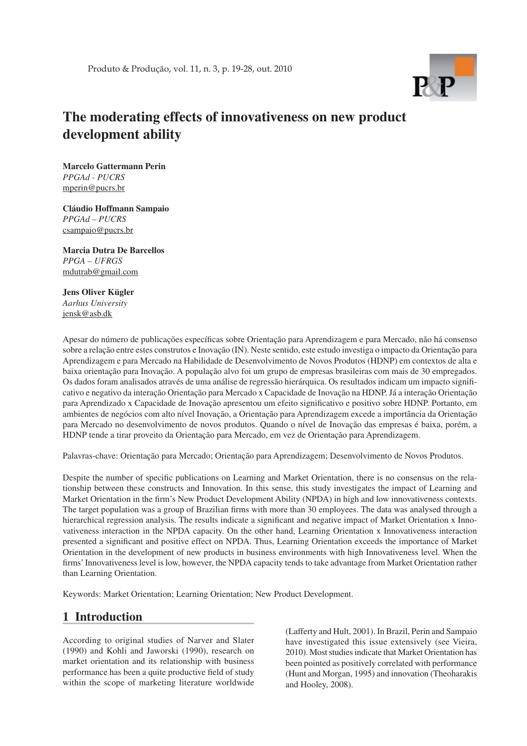

# **The moderating effects of innovativeness on new product development ability**

**Marcelo Gattermann Perin** *PPGAd - PUCRS* mperin@pucrs.br

**Cláudio Hoffmann Sampaio**  *PPGAd – PUCRS* csampaio@pucrs.br

**Marcia Dutra De Barcellos** *PPGA – UFRGS* mdutrab@gmail.com

**Jens Oliver Kügler** *Aarhus University* jensk@asb.dk

Apesar do número de publicações específicas sobre Orientação para Aprendizagem e para Mercado, não há consenso sobre a relação entre estes construtos e Inovação (IN). Neste sentido, este estudo investiga o impacto da Orientação para Aprendizagem e para Mercado na Habilidade de Desenvolvimento de Novos Produtos (HDNP) em contextos de alta e baixa orientação para Inovação. A população alvo foi um grupo de empresas brasileiras com mais de 30 empregados. Os dados foram analisados através de uma análise de regressão hierárquica. Os resultados indicam um impacto signifi cativo e negativo da interação Orientação para Mercado x Capacidade de Inovação na HDNP. Já a interação Orientação para Aprendizado x Capacidade de Inovação apresentou um efeito significativo e positivo sobre HDNP. Portanto, em ambientes de negócios com alto nível Inovação, a Orientação para Aprendizagem excede a importância da Orientação para Mercado no desenvolvimento de novos produtos. Quando o nível de Inovação das empresas é baixa, porém, a HDNP tende a tirar proveito da Orientação para Mercado, em vez de Orientação para Aprendizagem.

Palavras-chave: Orientação para Mercado; Orientação para Aprendizagem; Desenvolvimento de Novos Produtos.

Despite the number of specific publications on Learning and Market Orientation, there is no consensus on the relationship between these constructs and Innovation. In this sense, this study investigates the impact of Learning and Market Orientation in the firm's New Product Development Ability (NPDA) in high and low innovativeness contexts. The target population was a group of Brazilian firms with more than 30 employees. The data was analysed through a hierarchical regression analysis. The results indicate a significant and negative impact of Market Orientation x Innovativeness interaction in the NPDA capacity. On the other hand, Learning Orientation x Innovativeness interaction presented a significant and positive effect on NPDA. Thus, Learning Orientation exceeds the importance of Market Orientation in the development of new products in business environments with high Innovativeness level. When the firms' Innovativeness level is low, however, the NPDA capacity tends to take advantage from Market Orientation rather than Learning Orientation.

Keywords: Market Orientation; Learning Orientation; New Product Development.

## **1 Introduction**

According to original studies of Narver and Slater (1990) and Kohli and Jaworski (1990), research on market orientation and its relationship with business performance has been a quite productive field of study within the scope of marketing literature worldwide

(Lafferty and Hult, 2001). In Brazil, Perin and Sampaio have investigated this issue extensively (see Vieira, 2010). Most studies indicate that Market Orientation has been pointed as positively correlated with performance (Hunt and Morgan, 1995) and innovation (Theoharakis and Hooley, 2008).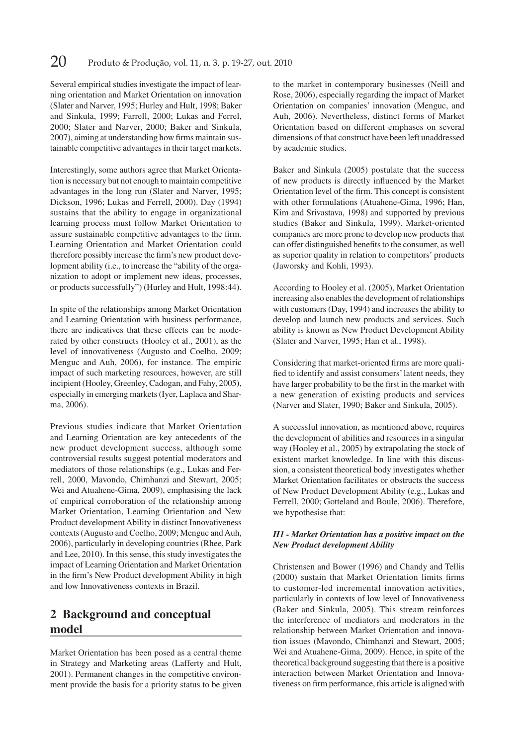Several empirical studies investigate the impact of learning orientation and Market Orientation on innovation (Slater and Narver, 1995; Hurley and Hult, 1998; Baker and Sinkula, 1999; Farrell, 2000; Lukas and Ferrel, 2000; Slater and Narver, 2000; Baker and Sinkula, 2007), aiming at understanding how firms maintain sustainable competitive advantages in their target markets.

Interestingly, some authors agree that Market Orientation is necessary but not enough to maintain competitive advantages in the long run (Slater and Narver, 1995; Dickson, 1996; Lukas and Ferrell, 2000). Day (1994) sustains that the ability to engage in organizational learning process must follow Market Orientation to assure sustainable competitive advantages to the firm. Learning Orientation and Market Orientation could therefore possibly increase the firm's new product development ability (i.e., to increase the "ability of the organization to adopt or implement new ideas, processes, or products successfully") (Hurley and Hult, 1998:44).

In spite of the relationships among Market Orientation and Learning Orientation with business performance, there are indicatives that these effects can be moderated by other constructs (Hooley et al., 2001), as the level of innovativeness (Augusto and Coelho, 2009; Menguc and Auh, 2006), for instance. The empiric impact of such marketing resources, however, are still incipient (Hooley, Greenley, Cadogan, and Fahy, 2005), especially in emerging markets (Iyer, Laplaca and Shar ma, 2006).

Previous studies indicate that Market Orientation and Learning Orientation are key antecedents of the new product development success, although some controversial results suggest potential moderators and mediators of those relationships (e.g., Lukas and Ferrell, 2000, Mavondo, Chimhanzi and Stewart, 2005; Wei and Atuahene-Gima, 2009), emphasising the lack of empirical corroboration of the relationship among Market Orientation, Learning Orientation and New Product development Ability in distinct Innovativeness contexts (Augusto and Coelho, 2009; Menguc and Auh, 2006), particularly in developing countries (Rhee, Park and Lee, 2010). In this sense, this study investigates the impact of Learning Orientation and Market Orientation in the firm's New Product development Ability in high and low Innovativeness contexts in Brazil.

## **2 Background and conceptual model**

Market Orientation has been posed as a central theme in Strategy and Marketing areas (Lafferty and Hult, 2001). Permanent changes in the competitive environment provide the basis for a priority status to be given

to the market in contemporary businesses (Neill and Rose, 2006), especially regarding the impact of Market Orientation on companies' innovation (Menguc, and Auh, 2006). Nevertheless, distinct forms of Market Orientation based on different emphases on several dimensions of that construct have been left unaddressed by academic studies.

Baker and Sinkula (2005) postulate that the success of new products is directly influenced by the Market Orientation level of the firm. This concept is consistent with other formulations (Atuahene-Gima, 1996; Han, Kim and Srivastava, 1998) and supported by previous studies (Baker and Sinkula, 1999). Market-oriented companies are more prone to develop new products that can offer distinguished benefits to the consumer, as well as superior quality in relation to competitors' products (Jaworsky and Kohli, 1993).

According to Hooley et al. (2005), Market Orientation increasing also enables the development of relationships with customers (Day, 1994) and increases the ability to develop and launch new products and services. Such ability is known as New Product Development Ability (Slater and Narver, 1995; Han et al., 1998).

Considering that market-oriented firms are more qualified to identify and assist consumers' latent needs, they have larger probability to be the first in the market with a new generation of existing products and services (Narver and Slater, 1990; Baker and Sinkula, 2005).

A successful innovation, as mentioned above, requires the development of abilities and resources in a singular way (Hooley et al., 2005) by extrapolating the stock of existent market knowledge. In line with this discussion, a consistent theoretical body investigates whether Market Orientation facilitates or obstructs the success of New Product Development Ability (e.g., Lukas and Ferrell, 2000; Gotteland and Boule, 2006). Therefore, we hypothesise that:

#### *H1 - Market Orientation has a positive impact on the New Product development Ability*

Christensen and Bower (1996) and Chandy and Tellis  $(2000)$  sustain that Market Orientation limits firms to customer-led incremental innovation activities, particularly in contexts of low level of Innovativeness (Baker and Sinkula, 2005). This stream reinforces the interference of mediators and moderators in the relationship between Market Orientation and innovation issues (Mavondo, Chimhanzi and Stewart, 2005; Wei and Atuahene-Gima, 2009). Hence, in spite of the theoretical background suggesting that there is a positive interaction between Market Orientation and Innovativeness on firm performance, this article is aligned with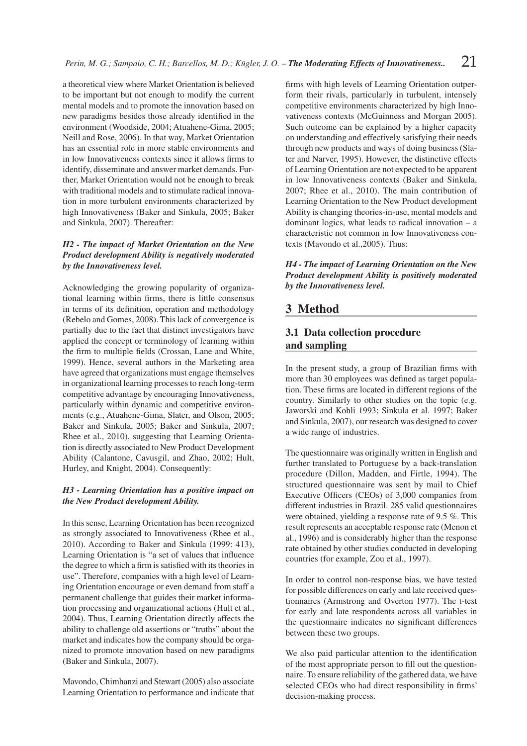a theoretical view where Market Orientation is believed to be important but not enough to modify the current mental models and to promote the innovation based on new paradigms besides those already identified in the environment (Woodside, 2004; Atuahene-Gima, 2005; Neill and Rose, 2006). In that way, Market Orientation has an essential role in more stable environments and in low Innovativeness contexts since it allows firms to identify, disseminate and answer market demands. Further, Market Orientation would not be enough to break with traditional models and to stimulate radical innovation in more turbulent environments characterized by high Innovativeness (Baker and Sinkula, 2005; Baker and Sinkula, 2007). Thereafter:

### *H2 - The impact of Market Orientation on the New Product development Ability is negatively moderated by the Innovativeness level.*

Acknowledging the growing popularity of organizational learning within firms, there is little consensus in terms of its definition, operation and methodology (Rebelo and Gomes, 2008). This lack of convergence is partially due to the fact that distinct investigators have applied the concept or terminology of learning within the firm to multiple fields (Crossan, Lane and White, 1999). Hence, several authors in the Marketing area have agreed that organizations must engage themselves in organizational learning processes to reach long-term competitive advantage by encouraging Innovativeness, particularly within dynamic and competitive environments (e.g., Atuahene-Gima, Slater, and Olson, 2005; Baker and Sinkula, 2005; Baker and Sinkula, 2007; Rhee et al., 2010), suggesting that Learning Orientation is directly associated to New Product Development Ability (Calantone, Cavusgil, and Zhao, 2002; Hult, Hurley, and Knight, 2004). Consequently:

#### *H3 - Learning Orientation has a positive impact on the New Product development Ability.*

In this sense, Learning Orientation has been recognized as strongly associated to Innovativeness (Rhee et al., 2010). According to Baker and Sinkula (1999: 413), Learning Orientation is "a set of values that influence the degree to which a firm is satisfied with its theories in use". Therefore, companies with a high level of Learning Orientation encourage or even demand from staff a permanent challenge that guides their market information processing and organizational actions (Hult et al., 2004). Thus, Learning Orientation directly affects the ability to challenge old assertions or "truths" about the market and indicates how the company should be organized to promote innovation based on new paradigms (Baker and Sinkula, 2007).

Mavondo, Chimhanzi and Stewart (2005) also associate Learning Orientation to performance and indicate that

firms with high levels of Learning Orientation outperform their rivals, particularly in turbulent, intensely competitive environments characterized by high Innovativeness contexts (McGuinness and Morgan 2005). Such outcome can be explained by a higher capacity on understanding and effectively satisfying their needs through new products and ways of doing business (Slater and Narver, 1995). However, the distinctive effects of Learning Orientation are not expected to be apparent in low Innovativeness contexts (Baker and Sinkula, 2007; Rhee et al., 2010). The main contribution of Learning Orientation to the New Product development Ability is changing theories-in-use, mental models and dominant logics, what leads to radical innovation – a characteristic not common in low Innovativeness contexts (Mavondo et al.,2005). Thus:

*H4 - The impact of Learning Orientation on the New Product development Ability is positively moderated by the Innovativeness level.*

## **3 Method**

### **3.1 Data collection procedure and sampling**

In the present study, a group of Brazilian firms with more than 30 employees was defined as target population. These firms are located in different regions of the country. Similarly to other studies on the topic (e.g. Jaworski and Kohli 1993; Sinkula et al. 1997; Baker and Sinkula, 2007), our research was designed to cover a wide range of industries.

The questionnaire was originally written in English and further translated to Portuguese by a back-translation procedure (Dillon, Madden, and Firtle, 1994). The structured questionnaire was sent by mail to Chief Executive Officers (CEOs) of 3,000 companies from different industries in Brazil. 285 valid questionnaires were obtained, yielding a response rate of 9.5 %. This result represents an acceptable response rate (Menon et al., 1996) and is considerably higher than the response rate obtained by other studies conducted in developing countries (for example, Zou et al., 1997).

In order to control non-response bias, we have tested for possible differences on early and late received questionnaires (Armstrong and Overton 1977). The t-test for early and late respondents across all variables in the questionnaire indicates no significant differences between these two groups.

We also paid particular attention to the identification of the most appropriate person to fill out the questionnaire. To ensure reliability of the gathered data, we have selected CEOs who had direct responsibility in firms' decision-making process.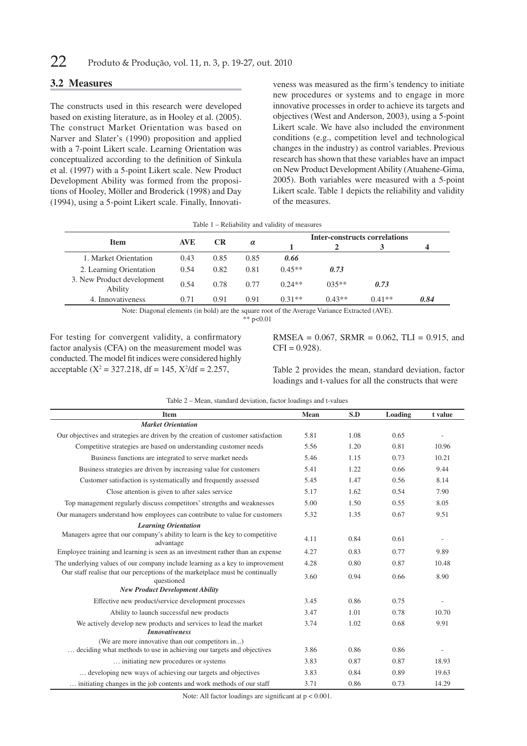### **3.2 Measures**

The constructs used in this research were developed based on existing literature, as in Hooley et al. (2005). The construct Market Orientation was based on Narver and Slater's (1990) proposition and applied with a 7-point Likert scale. Learning Orientation was conceptualized according to the definition of Sinkula et al. (1997) with a 5-point Likert scale. New Product Development Ability was formed from the propositions of Hooley, Möller and Broderick (1998) and Day (1994), using a 5-point Likert scale. Finally, Innovati-

veness was measured as the firm's tendency to initiate new procedures or systems and to engage in more innovative processes in order to achieve its targets and objectives (West and Anderson, 2003), using a 5-point Likert scale. We have also included the environment conditions (e.g., competition level and technological changes in the industry) as control variables. Previous research has shown that these variables have an impact on New Product Development Ability (Atuahene-Gima, 2005). Both variables were measured with a 5-point Likert scale. Table 1 depicts the reliability and validity of the measures.

| Table 1 – Reliability and validity of measures |  |  |  |  |
|------------------------------------------------|--|--|--|--|
|------------------------------------------------|--|--|--|--|

|                                       | <b>AVE</b> | <b>CR</b> | $\alpha$ | <b>Inter-constructs correlations</b> |          |          |      |
|---------------------------------------|------------|-----------|----------|--------------------------------------|----------|----------|------|
| <b>Item</b>                           |            |           |          |                                      |          |          |      |
| 1. Market Orientation                 | 0.43       | 0.85      | 0.85     | 0.66                                 |          |          |      |
| 2. Learning Orientation               | 0.54       | 0.82      | 0.81     | $0.45**$                             | 0.73     |          |      |
| 3. New Product development<br>Ability | 0.54       | 0.78      | 0.77     | $0.24**$                             | $0.35**$ | 0.73     |      |
| 4. Innovativeness                     | 0.71       | 0.91      | 0.91     | $0.31**$                             | $0.43**$ | $0.41**$ | 0.84 |

Note: Diagonal elements (in bold) are the square root of the Average Variance Extracted (AVE).

 $*$   $n < 0.01$ 

For testing for convergent validity, a confirmatory factor analysis (CFA) on the measurement model was conducted. The model fit indices were considered highly acceptable ( $X^2 = 327.218$ , df = 145,  $X^2/df = 2.257$ ,

RMSEA =  $0.067$ , SRMR =  $0.062$ , TLI =  $0.915$ , and  $CFI = 0.928$ .

Table 2 provides the mean, standard deviation, factor loadings and t-values for all the constructs that were

| Table 2 – Mean, standard deviation, factor loadings and t-values |
|------------------------------------------------------------------|
|------------------------------------------------------------------|

| <b>Item</b>                                                                                                              | Mean | S.D  | Loading | t value |
|--------------------------------------------------------------------------------------------------------------------------|------|------|---------|---------|
| <b>Market Orientation</b>                                                                                                |      |      |         |         |
| Our objectives and strategies are driven by the creation of customer satisfaction                                        | 5.81 | 1.08 | 0.65    |         |
| Competitive strategies are based on understanding customer needs                                                         | 5.56 | 1.20 | 0.81    | 10.96   |
| Business functions are integrated to serve market needs                                                                  | 5.46 | 1.15 | 0.73    | 10.21   |
| Business strategies are driven by increasing value for customers                                                         | 5.41 | 1.22 | 0.66    | 9.44    |
| Customer satisfaction is systematically and frequently assessed                                                          | 5.45 | 1.47 | 0.56    | 8.14    |
| Close attention is given to after sales service                                                                          | 5.17 | 1.62 | 0.54    | 7.90    |
| Top management regularly discuss competitors' strengths and weaknesses                                                   | 5.00 | 1.50 | 0.55    | 8.05    |
| Our managers understand how employees can contribute to value for customers                                              | 5.32 | 1.35 | 0.67    | 9.51    |
| <b>Learning Orientation</b>                                                                                              |      |      |         |         |
| Managers agree that our company's ability to learn is the key to competitive<br>advantage                                | 4.11 | 0.84 | 0.61    |         |
| Employee training and learning is seen as an investment rather than an expense                                           | 4.27 | 0.83 | 0.77    | 9.89    |
| The underlying values of our company include learning as a key to improvement                                            | 4.28 | 0.80 | 0.87    | 10.48   |
| Our staff realise that our perceptions of the marketplace must be continually<br>questioned                              | 3.60 | 0.94 | 0.66    | 8.90    |
| <b>New Product Development Ability</b>                                                                                   |      |      |         |         |
| Effective new product/service development processes                                                                      | 3.45 | 0.86 | 0.75    |         |
| Ability to launch successful new products                                                                                | 3.47 | 1.01 | 0.78    | 10.70   |
| We actively develop new products and services to lead the market<br><b>Innovativeness</b>                                | 3.74 | 1.02 | 0.68    | 9.91    |
| (We are more innovative than our competitors in)<br>deciding what methods to use in achieving our targets and objectives | 3.86 | 0.86 | 0.86    |         |
| initiating new procedures or systems                                                                                     | 3.83 | 0.87 | 0.87    | 18.93   |
| developing new ways of achieving our targets and objectives                                                              | 3.83 | 0.84 | 0.89    | 19.63   |
| initiating changes in the job contents and work methods of our staff                                                     | 3.71 | 0.86 | 0.73    | 14.29   |

Note: All factor loadings are significant at  $p < 0.001$ .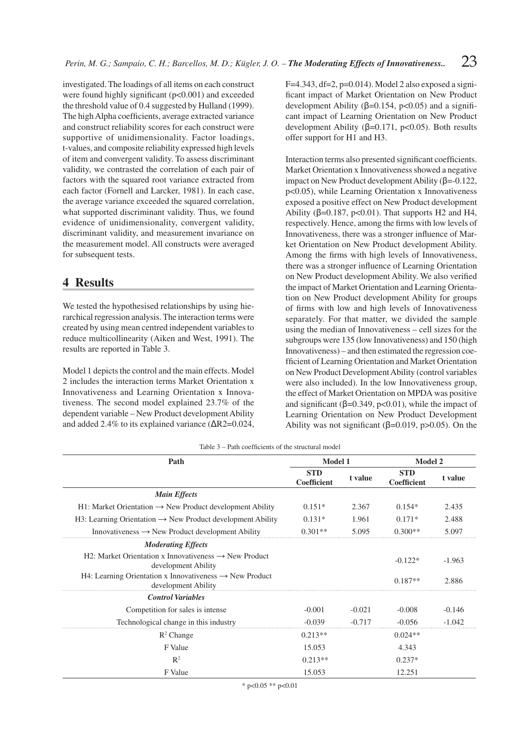investigated. The loadings of all items on each construct were found highly significant  $(p<0.001)$  and exceeded the threshold value of 0.4 suggested by Hulland (1999). The high Alpha coefficients, average extracted variance and construct reliability scores for each construct were supportive of unidimensionality. Factor loadings, t-values, and composite reliability expressed high levels of item and convergent validity. To assess discriminant validity, we contrasted the correlation of each pair of factors with the squared root variance extracted from each factor (Fornell and Larcker, 1981). In each case, the average variance exceeded the squared correlation, what supported discriminant validity. Thus, we found evidence of unidimensionality, convergent validity, discriminant validity, and measurement invariance on the measurement model. All constructs were averaged for subsequent tests.

## **4 Results**

We tested the hypothesised relationships by using hierarchical regression analysis. The interaction terms were created by using mean centred independent variables to reduce multicollinearity (Aiken and West, 1991). The results are reported in Table 3.

Model 1 depicts the control and the main effects. Model 2 includes the interaction terms Market Orientation x Innovativeness and Learning Orientation x Innovativeness. The second model explained 23.7% of the dependent variable – New Product development Ability and added 2.4% to its explained variance  $(\Delta R2=0.024,$   $F=4.343$ , df $=2$ , p $=0.014$ ). Model 2 also exposed a significant impact of Market Orientation on New Product development Ability ( $\beta$ =0.154, p<0.05) and a significant impact of Learning Orientation on New Product development Ability ( $β=0.171$ ,  $p<0.05$ ). Both results offer support for H1 and H3.

Interaction terms also presented significant coefficients. Market Orientation x Innovativeness showed a negative impact on New Product development Ability (β=-0.122, p<0.05), while Learning Orientation x Innovativeness exposed a positive effect on New Product development Ability ( $\beta$ =0.187, p<0.01). That supports H2 and H4, respectively. Hence, among the firms with low levels of Innovativeness, there was a stronger influence of Market Orientation on New Product development Ability. Among the firms with high levels of Innovativeness, there was a stronger influence of Learning Orientation on New Product development Ability. We also verified the impact of Market Orientation and Learning Orientation on New Product development Ability for groups of firms with low and high levels of Innovativeness separately. For that matter, we divided the sample using the median of Innovativeness – cell sizes for the subgroups were 135 (low Innovativeness) and 150 (high Innovativeness) – and then estimated the regression coefficient of Learning Orientation and Market Orientation on New Product Development Ability (control variables were also included). In the low Innovativeness group, the effect of Market Orientation on MPDA was positive and significant ( $\beta$ =0.349, p<0.01), while the impact of Learning Orientation on New Product Development Ability was not significant ( $β=0.019$ ,  $p>0.05$ ). On the

| Table 3 – Path coefficients of the structural model |
|-----------------------------------------------------|
|-----------------------------------------------------|

| Path                                                                                       | <b>Model 1</b>            |          | <b>Model 2</b>            |          |
|--------------------------------------------------------------------------------------------|---------------------------|----------|---------------------------|----------|
|                                                                                            | <b>STD</b><br>Coefficient | t value  | <b>STD</b><br>Coefficient | t value  |
| <b>Main Effects</b>                                                                        |                           |          |                           |          |
| $H1$ : Market Orientation $\rightarrow$ New Product development Ability                    | $0.151*$                  | 2.367    | $0.154*$                  | 2.435    |
| $H3$ : Learning Orientation $\rightarrow$ New Product development Ability                  | $0.131*$                  | 1.961    | $0.171*$                  | 2.488    |
| Innovativeness $\rightarrow$ New Product development Ability                               | $0.301**$                 | 5.095    | $0.300**$                 | 5.097    |
| <b>Moderating Effects</b>                                                                  |                           |          |                           |          |
| H2: Market Orientation x Innovativeness $\rightarrow$ New Product<br>development Ability   |                           |          | $-0.122*$                 | $-1.963$ |
| H4: Learning Orientation x Innovativeness $\rightarrow$ New Product<br>development Ability |                           |          | $0.187**$                 | 2.886    |
| <b>Control Variables</b>                                                                   |                           |          |                           |          |
| Competition for sales is intense                                                           | $-0.001$                  | $-0.021$ | $-0.008$                  | $-0.146$ |
| Technological change in this industry                                                      | $-0.039$                  | $-0.717$ | $-0.056$                  | $-1.042$ |
| $R^2$ Change                                                                               | $0.213**$                 |          | $0.024**$                 |          |
| F Value                                                                                    | 15.053                    |          | 4.343                     |          |
| $\mathbb{R}^2$                                                                             | $0.213**$                 |          | $0.237*$                  |          |
| F Value                                                                                    | 15.053                    |          | 12.251                    |          |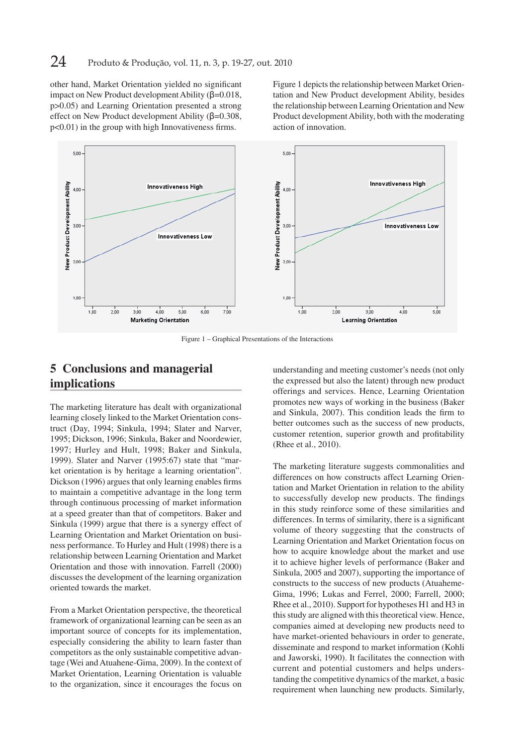other hand, Market Orientation yielded no significant impact on New Product development Ability (β=0.018, p>0.05) and Learning Orientation presented a strong effect on New Product development Ability (β=0.308,  $p<0.01$ ) in the group with high Innovativeness firms.

Figure 1 depicts the relationship between Market Orientation and New Product development Ability, besides the relationship between Learning Orientation and New Product development Ability, both with the moderating action of innovation.



Figure 1 – Graphical Presentations of the Interactions

## **5 Conclusions and managerial implications**

The marketing literature has dealt with organizational learning closely linked to the Market Orientation construct (Day, 1994; Sinkula, 1994; Slater and Narver, 1995; Dickson, 1996; Sinkula, Baker and Noordewier, 1997; Hurley and Hult, 1998; Baker and Sinkula, 1999). Slater and Narver (1995:67) state that "market orientation is by heritage a learning orientation". Dickson (1996) argues that only learning enables firms to maintain a competitive advantage in the long term through continuous processing of market information at a speed greater than that of competitors. Baker and Sinkula (1999) argue that there is a synergy effect of Learning Orientation and Market Orientation on business performance. To Hurley and Hult (1998) there is a relationship between Learning Orientation and Market Orientation and those with innovation. Farrell (2000) discusses the development of the learning organization oriented towards the market.

From a Market Orientation perspective, the theoretical framework of organizational learning can be seen as an important source of concepts for its implementation, especially considering the ability to learn faster than competitors as the only sustainable competitive advantage (Wei and Atuahene-Gima, 2009). In the context of Market Orientation, Learning Orientation is valuable to the organization, since it encourages the focus on

understanding and meeting customer's needs (not only the expressed but also the latent) through new product offerings and services. Hence, Learning Orientation promotes new ways of working in the business (Baker and Sinkula, 2007). This condition leads the firm to better outcomes such as the success of new products, customer retention, superior growth and profitability (Rhee et al., 2010).

The marketing literature suggests commonalities and differences on how constructs affect Learning Orientation and Market Orientation in relation to the ability to successfully develop new products. The findings in this study reinforce some of these similarities and differences. In terms of similarity, there is a significant volume of theory suggesting that the constructs of Learning Orientation and Market Orientation focus on how to acquire knowledge about the market and use it to achieve higher levels of performance (Baker and Sinkula, 2005 and 2007), supporting the importance of constructs to the success of new products (Atuaheme-Gima, 1996; Lukas and Ferrel, 2000; Farrell, 2000; Rhee et al., 2010). Support for hypotheses H1 and H3 in this study are aligned with this theoretical view. Hence, companies aimed at developing new products need to have market-oriented behaviours in order to generate, disseminate and respond to market information (Kohli and Jaworski, 1990). It facilitates the connection with current and potential customers and helps understanding the competitive dynamics of the market, a basic requirement when launching new products. Similarly,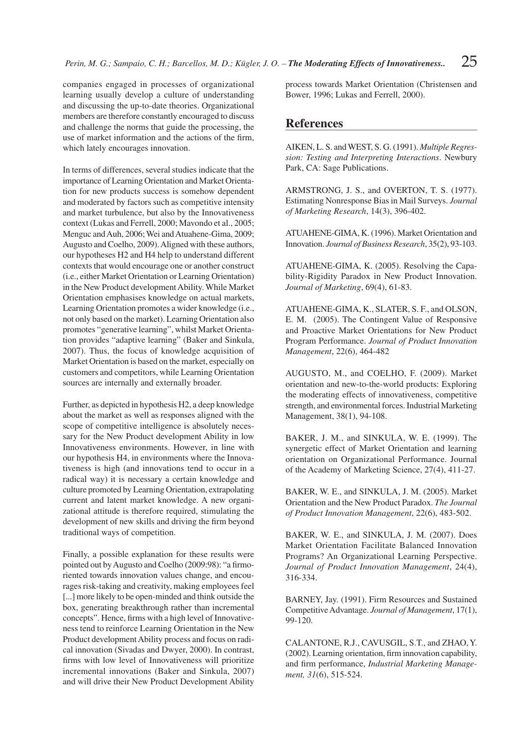companies engaged in processes of organizational learning usually develop a culture of understanding and discussing the up-to-date theories. Organizational members are therefore constantly encouraged to discuss and challenge the norms that guide the processing, the use of market information and the actions of the firm, which lately encourages innovation.

In terms of differences, several studies indicate that the importance of Learning Orientation and Market Orientation for new products success is somehow dependent and moderated by factors such as competitive intensity and market turbulence, but also by the Innovativeness context (Lukas and Ferrell, 2000; Mavondo et al., 2005; Menguc and Auh, 2006; Wei and Atuahene-Gima, 2009; Augusto and Coelho, 2009). Aligned with these authors, our hypotheses H2 and H4 help to understand different contexts that would encourage one or another construct (i.e., either Market Orientation or Learning Orientation) in the New Product development Ability. While Market Orientation emphasises knowledge on actual markets, Learning Orientation promotes a wider knowledge (i.e., not only based on the market). Learning Orientation also promotes "generative learning", whilst Market Orientation provides "adaptive learning" (Baker and Sinkula, 2007). Thus, the focus of knowledge acquisition of Market Orientation is based on the market, especially on customers and competitors, while Learning Orientation sources are internally and externally broader.

Further, as depicted in hypothesis H2, a deep knowledge about the market as well as responses aligned with the scope of competitive intelligence is absolutely necessary for the New Product development Ability in low Innovativeness environments. However, in line with our hypothesis H4, in environments where the Innovativeness is high (and innovations tend to occur in a radical way) it is necessary a certain knowledge and culture promoted by Learning Orientation, extrapolating current and latent market knowledge. A new organizational attitude is therefore required, stimulating the development of new skills and driving the firm beyond traditional ways of competition.

Finally, a possible explanation for these results were pointed out by Augusto and Coelho (2009:98): "a firmoriented towards innovation values change, and encourages risk-taking and creativity, making employees feel [...] more likely to be open-minded and think outside the box, generating breakthrough rather than incremental concepts". Hence, firms with a high level of Innovativeness tend to reinforce Learning Orientation in the New Product development Ability process and focus on radical innovation (Sivadas and Dwyer, 2000). In contrast, firms with low level of Innovativeness will prioritize incremental innovations (Baker and Sinkula, 2007) and will drive their New Product Development Ability

process towards Market Orientation (Christensen and Bower, 1996; Lukas and Ferrell, 2000).

### **References**

AIKEN, L. S. and WEST, S. G. (1991). *Multiple Regression: Testing and Interpreting Interactions*. Newbury Park, CA: Sage Publications.

ARMSTRONG, J. S., and OVERTON, T. S. (1977). Estimating Nonresponse Bias in Mail Surveys. *Journal of Marketing Research*, 14(3), 396-402.

ATUAHENE-GIMA, K. (1996). Market Orientation and Innovation. *Journal of Business Research*, 35(2), 93-103.

ATUAHENE-GIMA, K. (2005). Resolving the Capability-Rigidity Paradox in New Product Innovation. *Journal of Marketing*, 69(4), 61-83.

ATUAHENE-GIMA, K., SLATER, S. F., and OLSON, E. M. (2005). The Contingent Value of Responsive and Proactive Market Orientations for New Product Program Performance. *Journal of Product Innovation Mana gement*, 22(6), 464-482

AUGUSTO, M., and COELHO, F. (2009). Market orientation and new-to-the-world products: Exploring the moderating effects of innovativeness, competitive strength, and environmental forces. Industrial Marketing Management, 38(1), 94-108.

BAKER, J. M., and SINKULA, W. E. (1999). The synergetic effect of Market Orientation and learning orientation on Organizational Performance. Journal of the Academy of Marketing Science, 27(4), 411-27.

BAKER, W. E., and SINKULA, J. M. (2005). Market Orientation and the New Product Paradox. *The Journal of Product Innovation Management*, 22(6), 483-502.

BAKER, W. E., and SINKULA, J. M. (2007). Does Market Orientation Facilitate Balanced Innovation Programs? An Organizational Learning Perspective. *Journal of Product Innovation Management*, 24(4), 316-334.

BARNEY, Jay. (1991). Firm Resources and Sustained Competitive Advantage. *Journal of Management*, 17(1), 99-120.

CALANTONE, R.J., CAVUSGIL, S.T., and ZHAO, Y. (2002). Learning orientation, firm innovation capability, and firm performance, *Industrial Marketing Management, 31*(6), 515-524.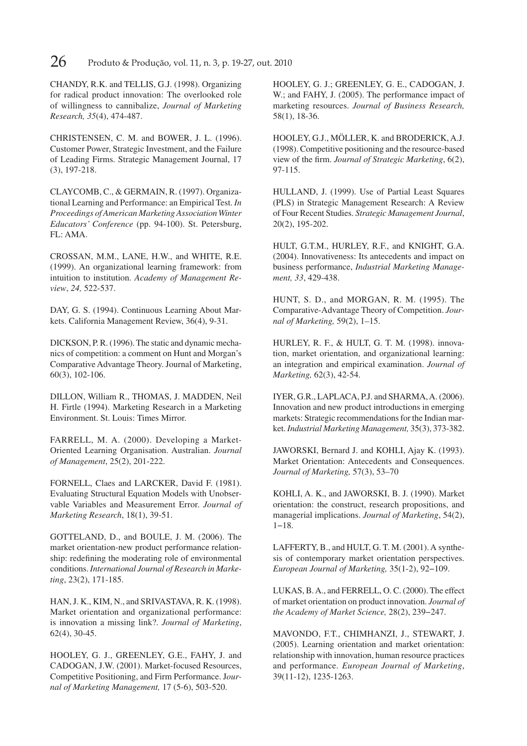**26** Produto & Produção, vol. 11, n. 3, p. 19-27, out. 2010

CHANDY, R.K. and TELLIS, G.J. (1998). Organizing for radical product innovation: The overlooked role of willingness to cannibalize, *Journal of Marketing Research, 35*(4), 474-487.

CHRISTENSEN, C. M. and BOWER, J. L. (1996). Customer Power, Strategic Investment, and the Failure of Leading Firms. Strategic Management Journal, 17 (3), 197-218.

CLAYCOMB, C., & GERMAIN, R. (1997). Organizational Learning and Performance: an Empirical Test. *In Proceedings of American Marketing Association Winter Educators' Conference* (pp. 94-100). St. Petersburg, FL: AMA.

CROSSAN, M.M., LANE, H.W., and WHITE, R.E. (1999). An organizational learning framework: from intuition to institution. *Academy of Management Review*, *24,* 522-537.

DAY, G. S. (1994). Continuous Learning About Markets. California Management Review, 36(4), 9-31.

DICKSON, P. R. (1996). The static and dynamic mechanics of competition: a comment on Hunt and Morgan's Comparative Advantage Theory. Journal of Marketing, 60(3), 102-106.

DILLON, William R., THOMAS, J. MADDEN, Neil H. Firtle (1994). Marketing Research in a Marketing Environment. St. Louis: Times Mirror.

FARRELL, M. A. (2000). Developing a Market-Oriented Learning Organisation. Australian. *Journal of Mana gement*, 25(2), 201-222.

FORNELL, Claes and LARCKER, David F. (1981). Evaluating Structural Equation Models with Unobservable Variables and Measurement Error. *Journal of Marketing Research*, 18(1), 39-51.

GOTTELAND, D., and BOULE, J. M. (2006). The market orientation-new product performance relationship: redefining the moderating role of environmental conditions. *International Journal of Research in Marketing*, 23(2), 171-185.

HAN, J. K., KIM, N., and SRIVASTAVA, R. K. (1998). Market orientation and organizational performance: is innovation a missing link?. *Journal of Marketing*, 62(4), 30-45.

HOOLEY, G. J., GREENLEY, G.E., FAHY, J. and CADOGAN, J.W. (2001). Market-focused Resources, Competitive Positioning, and Firm Performance. J*ournal of Marke ting Management,* 17 (5-6), 503-520.

HOOLEY, G. J.; GREENLEY, G. E., CADOGAN, J. W.; and FAHY, J. (2005). The performance impact of marketing resources. *Journal of Business Research,* 58(1), 18-36.

HOOLEY, G.J., MÖLLER, K. and BRODERICK, A.J. (1998). Competitive positioning and the resource-based view of the firm. *Journal of Strategic Marketing*, 6(2), 97-115.

HULLAND, J. (1999). Use of Partial Least Squares (PLS) in Strategic Management Research: A Review of Four Recent Studies. *Strategic Management Journal*, 20(2), 195-202.

HULT, G.T.M., HURLEY, R.F., and KNIGHT, G.A. (2004). Innovativeness: Its antecedents and impact on business performance, *Industrial Marketing Management, 33*, 429-438.

HUNT, S. D., and MORGAN, R. M. (1995). The Comparative-Advantage Theory of Competition. Jour*nal of Marketing,* 59(2), 1–15.

HURLEY, R. F., & HULT, G. T. M. (1998). innovation, market orientation, and organizational learning: an integration and empirical examination. *Journal of Marketing,* 62(3), 42-54.

IYER, G.R., LAPLACA, P.J. and SHARMA, A. (2006). Innovation and new product introductions in emerging markets: Strategic recommendations for the Indian market. *Industrial Marketing Management,* 35(3), 373-382.

JAWORSKI, Bernard J. and KOHLI, Ajay K. (1993). Market Orientation: Antecedents and Consequences. *Journal of Marketing,* 57(3), 53–70

KOHLI, A. K., and JAWORSKI, B. J. (1990). Market orientation: the construct, research propositions, and managerial implications. *Journal of Marketing*, 54(2), 1−18.

LAFFERTY, B., and HULT, G. T. M. (2001). A synthesis of contemporary market orientation perspectives. *European Journal of Marketing,* 35(1-2), 92−109.

LUKAS, B. A., and FERRELL, O. C. (2000). The effect of market orientation on product innovation. *Journal of the Academy of Market Science,* 28(2), 239−247.

MAVONDO, F.T., CHIMHANZI, J., STEWART, J. (2005). Learning orientation and market orientation: relationship with innovation, human resource practices and performance. *European Journal of Marketing*, 39(11-12), 1235-1263.